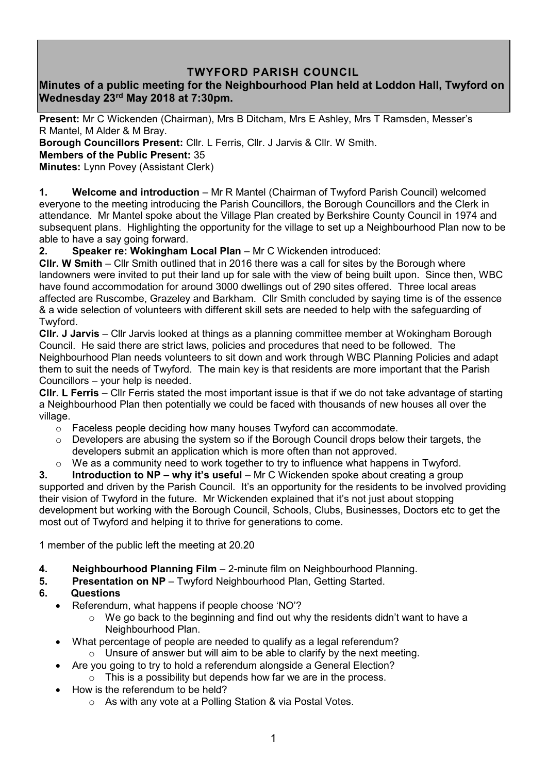# **TWYFORD PARISH COUNCIL**

# **Minutes of a public meeting for the Neighbourhood Plan held at Loddon Hall, Twyford on Wednesday 23rd May 2018 at 7:30pm.**

**Present:** Mr C Wickenden (Chairman), Mrs B Ditcham, Mrs E Ashley, Mrs T Ramsden, Messer's R Mantel, M Alder & M Bray.

**Borough Councillors Present:** Cllr. L Ferris, Cllr. J Jarvis & Cllr. W Smith.

#### **Members of the Public Present:** 35

**Minutes:** Lynn Povey (Assistant Clerk)

**1. Welcome and introduction** – Mr R Mantel (Chairman of Twyford Parish Council) welcomed everyone to the meeting introducing the Parish Councillors, the Borough Councillors and the Clerk in attendance. Mr Mantel spoke about the Village Plan created by Berkshire County Council in 1974 and subsequent plans. Highlighting the opportunity for the village to set up a Neighbourhood Plan now to be able to have a say going forward.

**2. Speaker re: Wokingham Local Plan** – Mr C Wickenden introduced:

**Cllr. W Smith** – Cllr Smith outlined that in 2016 there was a call for sites by the Borough where landowners were invited to put their land up for sale with the view of being built upon. Since then, WBC have found accommodation for around 3000 dwellings out of 290 sites offered. Three local areas affected are Ruscombe, Grazeley and Barkham. Cllr Smith concluded by saying time is of the essence & a wide selection of volunteers with different skill sets are needed to help with the safeguarding of Twyford.

**Cllr. J Jarvis** – Cllr Jarvis looked at things as a planning committee member at Wokingham Borough Council. He said there are strict laws, policies and procedures that need to be followed. The Neighbourhood Plan needs volunteers to sit down and work through WBC Planning Policies and adapt them to suit the needs of Twyford. The main key is that residents are more important that the Parish Councillors – your help is needed.

**Cllr. L Ferris** – Cllr Ferris stated the most important issue is that if we do not take advantage of starting a Neighbourhood Plan then potentially we could be faced with thousands of new houses all over the village.

- o Faceless people deciding how many houses Twyford can accommodate.
- o Developers are abusing the system so if the Borough Council drops below their targets, the developers submit an application which is more often than not approved.
- $\circ$  We as a community need to work together to try to influence what happens in Twyford.

**3. Introduction to NP – why it's useful** – Mr C Wickenden spoke about creating a group supported and driven by the Parish Council. It's an opportunity for the residents to be involved providing their vision of Twyford in the future. Mr Wickenden explained that it's not just about stopping development but working with the Borough Council, Schools, Clubs, Businesses, Doctors etc to get the most out of Twyford and helping it to thrive for generations to come.

1 member of the public left the meeting at 20.20

- **4. Neighbourhood Planning Film** 2-minute film on Neighbourhood Planning.
- **5. Presentation on NP** Twyford Neighbourhood Plan, Getting Started.

## **6. Questions**

- Referendum, what happens if people choose 'NO'?
	- o We go back to the beginning and find out why the residents didn't want to have a Neighbourhood Plan.
	- What percentage of people are needed to qualify as a legal referendum?
		- $\circ$  Unsure of answer but will aim to be able to clarify by the next meeting.
- Are you going to try to hold a referendum alongside a General Election?  $\circ$  This is a possibility but depends how far we are in the process.
- How is the referendum to be held?
	- o As with any vote at a Polling Station & via Postal Votes.